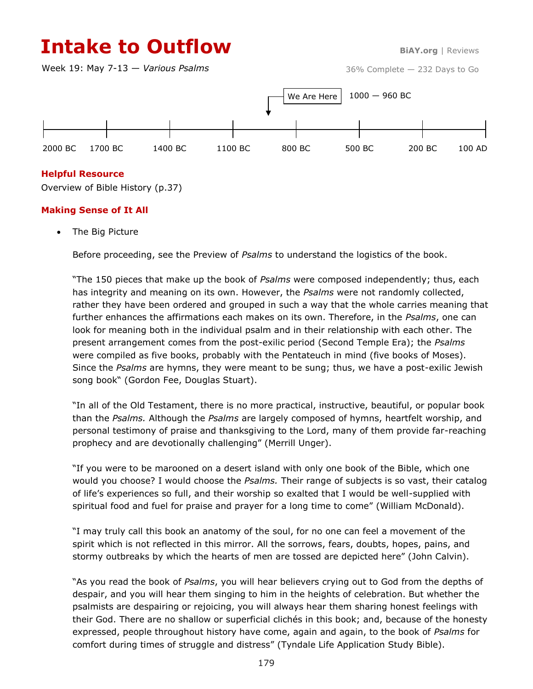# **Intake to Outflow BiAY.org** | Reviews

Week 19: May 7-13 — *Various Psalms*



# **Helpful Resource**

Overview of Bible History (p.37)

# **Making Sense of It All**

The Big Picture

Before proceeding, see the Preview of *Psalms* to understand the logistics of the book.

"The 150 pieces that make up the book of *Psalms* were composed independently; thus, each has integrity and meaning on its own. However, the *Psalms* were not randomly collected, rather they have been ordered and grouped in such a way that the whole carries meaning that further enhances the affirmations each makes on its own. Therefore, in the *Psalms*, one can look for meaning both in the individual psalm and in their relationship with each other. The present arrangement comes from the post-exilic period (Second Temple Era); the *Psalms* were compiled as five books, probably with the Pentateuch in mind (five books of Moses). Since the *Psalms* are hymns, they were meant to be sung; thus, we have a post-exilic Jewish song book" (Gordon Fee, Douglas Stuart).

"In all of the Old Testament, there is no more practical, instructive, beautiful, or popular book than the *Psalms.* Although the *Psalms* are largely composed of hymns, heartfelt worship, and personal testimony of praise and thanksgiving to the Lord, many of them provide far-reaching prophecy and are devotionally challenging" (Merrill Unger).

"If you were to be marooned on a desert island with only one book of the Bible, which one would you choose? I would choose the *Psalms.* Their range of subjects is so vast, their catalog of life's experiences so full, and their worship so exalted that I would be well-supplied with spiritual food and fuel for praise and prayer for a long time to come" (William McDonald).

"I may truly call this book an anatomy of the soul, for no one can feel a movement of the spirit which is not reflected in this mirror. All the sorrows, fears, doubts, hopes, pains, and stormy outbreaks by which the hearts of men are tossed are depicted here" (John Calvin).

"As you read the book of *Psalms*, you will hear believers crying out to God from the depths of despair, and you will hear them singing to him in the heights of celebration. But whether the psalmists are despairing or rejoicing, you will always hear them sharing honest feelings with their God. There are no shallow or superficial clichés in this book; and, because of the honesty expressed, people throughout history have come, again and again, to the book of *Psalms* for comfort during times of struggle and distress" (Tyndale Life Application Study Bible).